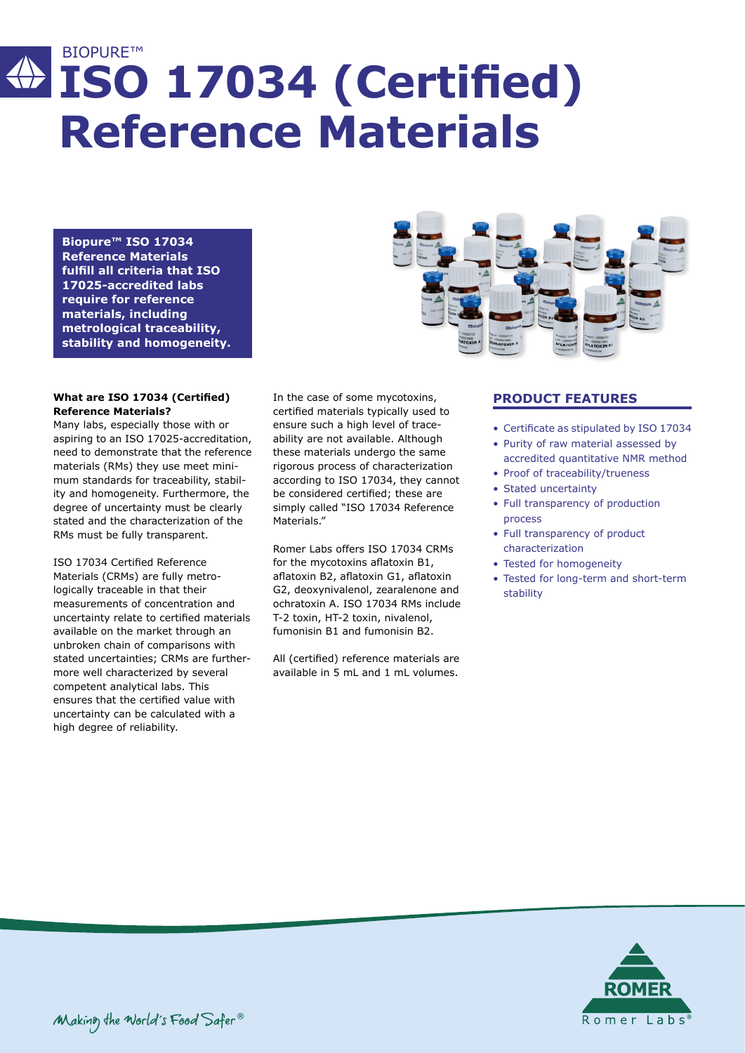# BIOPURE™ **ISO 17034 (Certified) Reference Materials**

**Biopure™ ISO 17034 Reference Materials fulfill all criteria that ISO 17025-accredited labs require for reference materials, including metrological traceability, stability and homogeneity.**

### **What are ISO 17034 (Certified) Reference Materials?**

Many labs, especially those with or aspiring to an ISO 17025-accreditation, need to demonstrate that the reference materials (RMs) they use meet minimum standards for traceability, stability and homogeneity. Furthermore, the degree of uncertainty must be clearly stated and the characterization of the RMs must be fully transparent.

ISO 17034 Certified Reference Materials (CRMs) are fully metrologically traceable in that their measurements of concentration and uncertainty relate to certified materials available on the market through an unbroken chain of comparisons with stated uncertainties; CRMs are furthermore well characterized by several competent analytical labs. This ensures that the certified value with uncertainty can be calculated with a high degree of reliability.

In the case of some mycotoxins, certified materials typically used to ensure such a high level of traceability are not available. Although these materials undergo the same rigorous process of characterization according to ISO 17034, they cannot be considered certified; these are simply called "ISO 17034 Reference Materials<sup>"</sup>

Romer Labs offers ISO 17034 CRMs for the mycotoxins aflatoxin B1, aflatoxin B2, aflatoxin G1, aflatoxin G2, deoxynivalenol, zearalenone and ochratoxin A. ISO 17034 RMs include T-2 toxin, HT-2 toxin, nivalenol, fumonisin B1 and fumonisin B2.

All (certified) reference materials are available in 5 mL and 1 mL volumes.



## **PRODUCT FEATURES**

- Certificate as stipulated by ISO 17034
- Purity of raw material assessed by accredited quantitative NMR method
- Proof of traceability/trueness
- Stated uncertainty
- Full transparency of production process
- Full transparency of product characterization
- Tested for homogeneity
- Tested for long-term and short-term stability